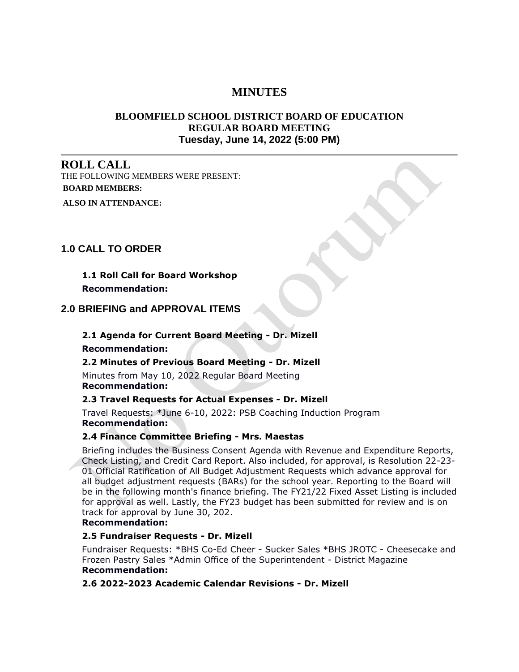# **MINUTES**

# **BLOOMFIELD SCHOOL DISTRICT BOARD OF EDUCATION REGULAR BOARD MEETING Tuesday, June 14, 2022 (5:00 PM)**

# **ROLL CALL**

THE FOLLOWING MEMBERS WERE PRESENT: **BOARD MEMBERS: ALSO IN ATTENDANCE:**

# **1.0 CALL TO ORDER**

**1.1 Roll Call for Board Workshop Recommendation:**

# **2.0 BRIEFING and APPROVAL ITEMS**

# **2.1 Agenda for Current Board Meeting - Dr. Mizell**

#### **Recommendation:**

#### **2.2 Minutes of Previous Board Meeting - Dr. Mizell**

Minutes from May 10, 2022 Regular Board Meeting **Recommendation:**

#### **2.3 Travel Requests for Actual Expenses - Dr. Mizell**

Travel Requests: \*June 6-10, 2022: PSB Coaching Induction Program **Recommendation:**

#### **2.4 Finance Committee Briefing - Mrs. Maestas**

Briefing includes the Business Consent Agenda with Revenue and Expenditure Reports, Check Listing, and Credit Card Report. Also included, for approval, is Resolution 22-23- 01 Official Ratification of All Budget Adjustment Requests which advance approval for all budget adjustment requests (BARs) for the school year. Reporting to the Board will be in the following month's finance briefing. The FY21/22 Fixed Asset Listing is included for approval as well. Lastly, the FY23 budget has been submitted for review and is on track for approval by June 30, 202.

#### **Recommendation:**

# **2.5 Fundraiser Requests - Dr. Mizell**

Fundraiser Requests: \*BHS Co-Ed Cheer - Sucker Sales \*BHS JROTC - Cheesecake and Frozen Pastry Sales \*Admin Office of the Superintendent - District Magazine **Recommendation:**

**2.6 2022-2023 Academic Calendar Revisions - Dr. Mizell**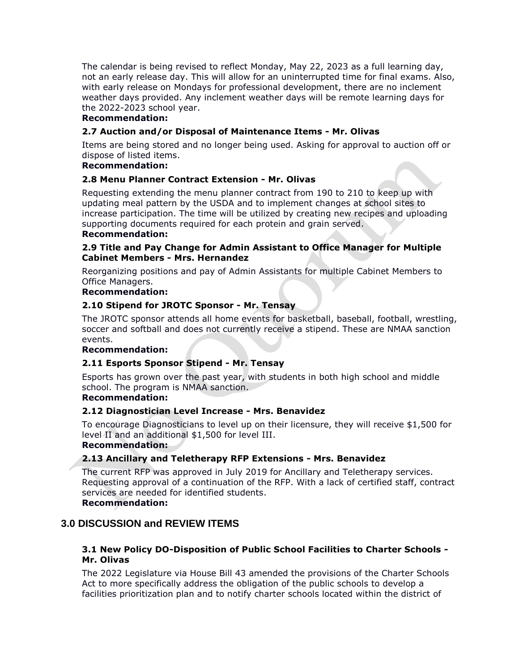The calendar is being revised to reflect Monday, May 22, 2023 as a full learning day, not an early release day. This will allow for an uninterrupted time for final exams. Also, with early release on Mondays for professional development, there are no inclement weather days provided. Any inclement weather days will be remote learning days for the 2022-2023 school year.

# **Recommendation:**

# **2.7 Auction and/or Disposal of Maintenance Items - Mr. Olivas**

Items are being stored and no longer being used. Asking for approval to auction off or dispose of listed items.

# **Recommendation:**

# **2.8 Menu Planner Contract Extension - Mr. Olivas**

Requesting extending the menu planner contract from 190 to 210 to keep up with updating meal pattern by the USDA and to implement changes at school sites to increase participation. The time will be utilized by creating new recipes and uploading supporting documents required for each protein and grain served.

# **Recommendation:**

### **2.9 Title and Pay Change for Admin Assistant to Office Manager for Multiple Cabinet Members - Mrs. Hernandez**

Reorganizing positions and pay of Admin Assistants for multiple Cabinet Members to Office Managers.

#### **Recommendation:**

### **2.10 Stipend for JROTC Sponsor - Mr. Tensay**

The JROTC sponsor attends all home events for basketball, baseball, football, wrestling, soccer and softball and does not currently receive a stipend. These are NMAA sanction events.

#### **Recommendation:**

#### **2.11 Esports Sponsor Stipend - Mr. Tensay**

Esports has grown over the past year, with students in both high school and middle school. The program is NMAA sanction.

#### **Recommendation:**

#### **2.12 Diagnostician Level Increase - Mrs. Benavidez**

To encourage Diagnosticians to level up on their licensure, they will receive \$1,500 for level II and an additional \$1,500 for level III.

#### **Recommendation:**

# **2.13 Ancillary and Teletherapy RFP Extensions - Mrs. Benavidez**

The current RFP was approved in July 2019 for Ancillary and Teletherapy services. Requesting approval of a continuation of the RFP. With a lack of certified staff, contract services are needed for identified students.

#### **Recommendation:**

# **3.0 DISCUSSION and REVIEW ITEMS**

# **3.1 New Policy DO-Disposition of Public School Facilities to Charter Schools - Mr. Olivas**

The 2022 Legislature via House Bill 43 amended the provisions of the Charter Schools Act to more specifically address the obligation of the public schools to develop a facilities prioritization plan and to notify charter schools located within the district of